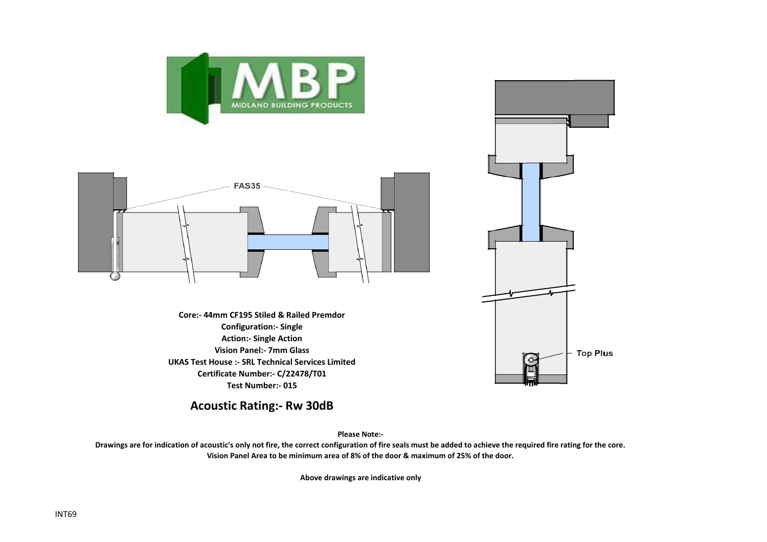



**Core:- 44mm CF195 Stiled & Railed Premdor Configuration:- Single Action:- Single Action Vision Panel:- 7mm Glass UKAS Test House :- SRL Technical Services Limited Certificate Number:- C/22478/T01 Test Number:- 015**



**Acoustic Rating:- Rw 30dB**

**Please Note:-** 

**Drawings are for indication of acoustic's only not fire, the correct configuration of fire seals must be added to achieve the required fire rating for the core. Vision Panel Area to be minimum area of 8% of the door & maximum of 25% of the door.**

**Above drawings are indicative only**